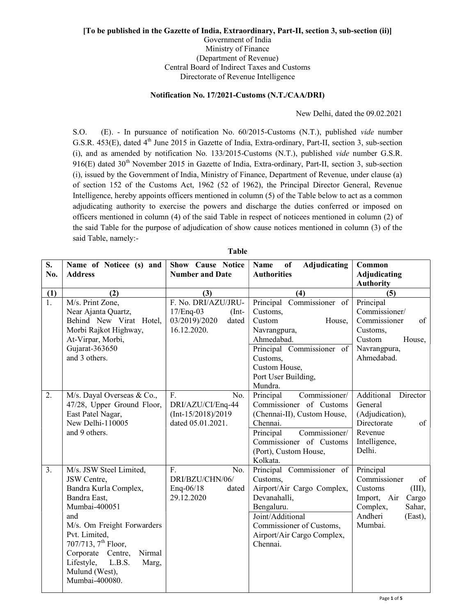## [To be published in the Gazette of India, Extraordinary, Part-II, section 3, sub-section (ii)] Government of India Ministry of Finance (Department of Revenue) Central Board of Indirect Taxes and Customs

Directorate of Revenue Intelligence

## Notification No. 17/2021-Customs (N.T./CAA/DRI)

New Delhi, dated the 09.02.2021

S.O. (E). - In pursuance of notification No. 60/2015-Customs (N.T.), published vide number G.S.R. 453(E), dated 4<sup>th</sup> June 2015 in Gazette of India, Extra-ordinary, Part-II, section 3, sub-section (i), and as amended by notification No. 133/2015-Customs (N.T.), published vide number G.S.R.  $916(E)$  dated  $30<sup>th</sup>$  November 2015 in Gazette of India, Extra-ordinary, Part-II, section 3, sub-section (i), issued by the Government of India, Ministry of Finance, Department of Revenue, under clause (a) of section 152 of the Customs Act, 1962 (52 of 1962), the Principal Director General, Revenue Intelligence, hereby appoints officers mentioned in column (5) of the Table below to act as a common adjudicating authority to exercise the powers and discharge the duties conferred or imposed on officers mentioned in column (4) of the said Table in respect of noticees mentioned in column (2) of the said Table for the purpose of adjudication of show cause notices mentioned in column (3) of the said Table, namely:-

| S.<br>No.        | Name of Noticee (s) and<br><b>Address</b>                                                                                                                                                                                                                                                     | <b>Show Cause Notice</b><br><b>Number and Date</b>                                   | Adjudicating<br>of<br>Name<br><b>Authorities</b>                                                                                                                                               | Common<br><b>Adjudicating</b><br><b>Authority</b>                                                                                   |
|------------------|-----------------------------------------------------------------------------------------------------------------------------------------------------------------------------------------------------------------------------------------------------------------------------------------------|--------------------------------------------------------------------------------------|------------------------------------------------------------------------------------------------------------------------------------------------------------------------------------------------|-------------------------------------------------------------------------------------------------------------------------------------|
| (1)              | (2)                                                                                                                                                                                                                                                                                           | (3)                                                                                  | (4)                                                                                                                                                                                            | (5)                                                                                                                                 |
| $\overline{1}$ . | M/s. Print Zone,<br>Near Ajanta Quartz,<br>Behind New Virat Hotel,<br>Morbi Rajkot Highway,<br>At-Virpar, Morbi,<br>Gujarat-363650<br>and 3 others.                                                                                                                                           | F. No. DRI/AZU/JRU-<br>17/Enq-03<br>$(Int-$<br>03/2019)/2020<br>dated<br>16.12.2020. | Principal Commissioner of<br>Customs,<br>Custom<br>House,<br>Navrangpura,<br>Ahmedabad.<br>Principal Commissioner of<br>Customs,<br>Custom House,<br>Port User Building,<br>Mundra.            | Principal<br>Commissioner/<br>Commissioner<br>of<br>Customs,<br>Custom<br>House,<br>Navrangpura,<br>Ahmedabad.                      |
| 2.               | M/s. Dayal Overseas & Co.,<br>47/28, Upper Ground Floor,<br>East Patel Nagar,<br>New Delhi-110005<br>and 9 others.                                                                                                                                                                            | F.<br>No.<br>DRI/AZU/CI/Enq-44<br>$(Int-15/2018)/2019$<br>dated 05.01.2021.          | Commissioner/<br>Principal<br>Commissioner of Customs<br>(Chennai-II), Custom House,<br>Chennai.<br>Commissioner/<br>Principal<br>Commissioner of Customs<br>(Port), Custom House,<br>Kolkata. | Additional<br>Director<br>General<br>(Adjudication),<br>Directorate<br>of<br>Revenue<br>Intelligence,<br>Delhi.                     |
| 3.               | M/s. JSW Steel Limited,<br>JSW Centre,<br>Bandra Kurla Complex,<br>Bandra East,<br>Mumbai-400051<br>and<br>M/s. Om Freight Forwarders<br>Pvt. Limited,<br>707/713, $7^{\text{th}}$ Floor,<br>Corporate Centre,<br>Nirmal<br>Lifestyle,<br>L.B.S.<br>Marg,<br>Mulund (West),<br>Mumbai-400080. | F.<br>No.<br>DRI/BZU/CHN/06/<br>Enq-06/18<br>dated<br>29.12.2020                     | Principal Commissioner of<br>Customs,<br>Airport/Air Cargo Complex,<br>Devanahalli,<br>Bengaluru.<br>Joint/Additional<br>Commissioner of Customs,<br>Airport/Air Cargo Complex,<br>Chennai.    | Principal<br>Commissioner<br>of<br>(III),<br>Customs<br>Import, Air<br>Cargo<br>Complex,<br>Sahar,<br>Andheri<br>(East),<br>Mumbai. |

Table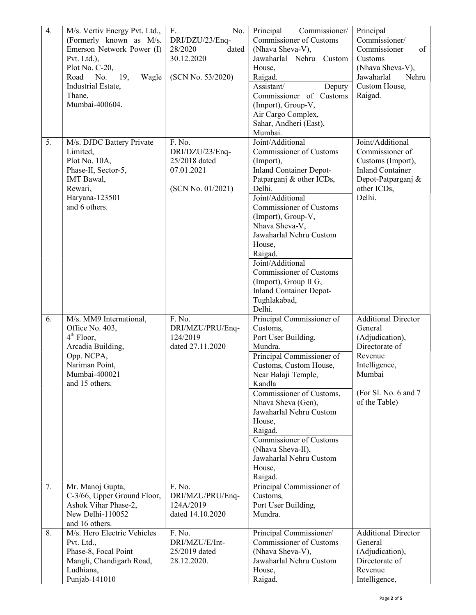| 4.               | M/s. Vertiv Energy Pvt. Ltd.,<br>(Formerly known as M/s.<br>Emerson Network Power (I)<br>Pvt. Ltd.),<br>Plot No. C-20,<br>Road<br>No.<br>19,<br>Wagle<br>Industrial Estate,<br>Thane,<br>Mumbai-400604. | No.<br>$F_{\cdot}$<br>DRI/DZU/23/Enq-<br>28/2020<br>dated<br>30.12.2020<br>(SCN No. 53/2020) | Principal<br>Commissioner/<br><b>Commissioner of Customs</b><br>(Nhava Sheva-V),<br>Jawaharlal Nehru Custom<br>House,<br>Raigad.<br>Assistant/<br>Deputy<br>Commissioner of Customs<br>(Import), Group-V,<br>Air Cargo Complex,<br>Sahar, Andheri (East),<br>Mumbai.                                                                                                                                               | Principal<br>Commissioner/<br>of<br>Commissioner<br>Customs<br>(Nhava Sheva-V),<br>Jawaharlal<br>Nehru<br>Custom House,<br>Raigad.                        |
|------------------|---------------------------------------------------------------------------------------------------------------------------------------------------------------------------------------------------------|----------------------------------------------------------------------------------------------|--------------------------------------------------------------------------------------------------------------------------------------------------------------------------------------------------------------------------------------------------------------------------------------------------------------------------------------------------------------------------------------------------------------------|-----------------------------------------------------------------------------------------------------------------------------------------------------------|
| $\overline{5}$ . | M/s. DJDC Battery Private<br>Limited,<br>Plot No. 10A,<br>Phase-II, Sector-5,<br>IMT Bawal,<br>Rewari,<br>Haryana-123501<br>and 6 others.                                                               | F. No.<br>DRI/DZU/23/Enq-<br>25/2018 dated<br>07.01.2021<br>(SCN No. 01/2021)                | Joint/Additional<br><b>Commissioner of Customs</b><br>(Import),<br><b>Inland Container Depot-</b><br>Patparganj & other ICDs,<br>Delhi.<br>Joint/Additional<br>Commissioner of Customs<br>(Import), Group-V,<br>Nhava Sheva-V,<br>Jawaharlal Nehru Custom<br>House,<br>Raigad.<br>Joint/Additional<br>Commissioner of Customs<br>(Import), Group II G,<br><b>Inland Container Depot-</b><br>Tughlakabad,<br>Delhi. | Joint/Additional<br>Commissioner of<br>Customs (Import),<br><b>Inland Container</b><br>Depot-Patparganj &<br>other ICDs,<br>Delhi.                        |
| 6.               | M/s. MM9 International,<br>Office No. 403,<br>4 <sup>th</sup> Floor,<br>Arcadia Building,<br>Opp. NCPA,<br>Nariman Point,<br>Mumbai-400021<br>and 15 others.                                            | F. No.<br>DRI/MZU/PRU/Enq-<br>124/2019<br>dated 27.11.2020                                   | Principal Commissioner of<br>Customs,<br>Port User Building,<br>Mundra.<br>Principal Commissioner of<br>Customs, Custom House,<br>Near Balaji Temple,<br>Kandla<br>Commissioner of Customs,<br>Nhava Sheva (Gen),<br>Jawaharlal Nehru Custom<br>House,<br>Raigad.<br>Commissioner of Customs<br>(Nhava Sheva-II),<br>Jawaharlal Nehru Custom<br>House,<br>Raigad.                                                  | <b>Additional Director</b><br>General<br>(Adjudication),<br>Directorate of<br>Revenue<br>Intelligence,<br>Mumbai<br>(For Sl. No. 6 and 7<br>of the Table) |
| 7.               | Mr. Manoj Gupta,<br>C-3/66, Upper Ground Floor,<br>Ashok Vihar Phase-2,<br>New Delhi-110052<br>and 16 others.                                                                                           | F. No.<br>DRI/MZU/PRU/Enq-<br>124A/2019<br>dated 14.10.2020                                  | Principal Commissioner of<br>Customs,<br>Port User Building,<br>Mundra.                                                                                                                                                                                                                                                                                                                                            |                                                                                                                                                           |
| 8.               | M/s. Hero Electric Vehicles<br>Pvt. Ltd.,<br>Phase-8, Focal Point<br>Mangli, Chandigarh Road,<br>Ludhiana,<br>Punjab-141010                                                                             | F. No.<br>DRI/MZU/E/Int-<br>25/2019 dated<br>28.12.2020.                                     | Principal Commissioner/<br><b>Commissioner of Customs</b><br>(Nhava Sheva-V),<br>Jawaharlal Nehru Custom<br>House,<br>Raigad.                                                                                                                                                                                                                                                                                      | <b>Additional Director</b><br>General<br>(Adjudication),<br>Directorate of<br>Revenue<br>Intelligence,                                                    |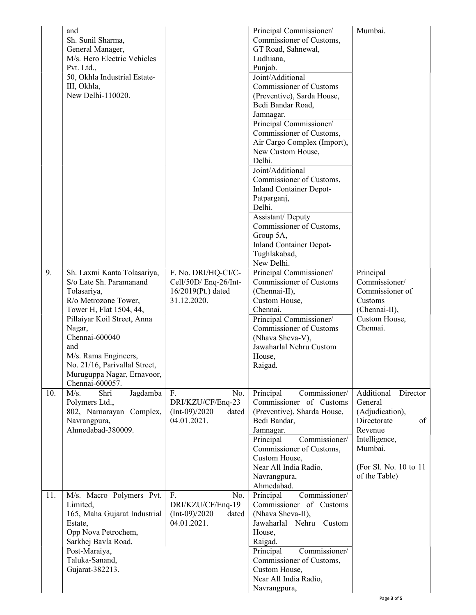|     | and<br>Sh. Sunil Sharma,<br>General Manager,<br>M/s. Hero Electric Vehicles<br>Pvt. Ltd.,<br>50, Okhla Industrial Estate-<br>III, Okhla,<br>New Delhi-110020.                       |                                                                                   | Principal Commissioner/<br>Commissioner of Customs,<br>GT Road, Sahnewal,<br>Ludhiana,<br>Punjab.<br>Joint/Additional<br><b>Commissioner of Customs</b><br>(Preventive), Sarda House,<br>Bedi Bandar Road,                                          | Mumbai.                                                                                                                                                     |
|-----|-------------------------------------------------------------------------------------------------------------------------------------------------------------------------------------|-----------------------------------------------------------------------------------|-----------------------------------------------------------------------------------------------------------------------------------------------------------------------------------------------------------------------------------------------------|-------------------------------------------------------------------------------------------------------------------------------------------------------------|
|     |                                                                                                                                                                                     |                                                                                   | Jamnagar.<br>Principal Commissioner/<br>Commissioner of Customs,<br>Air Cargo Complex (Import),<br>New Custom House,<br>Delhi.<br>Joint/Additional<br>Commissioner of Customs,<br><b>Inland Container Depot-</b><br>Patparganj,<br>Delhi.           |                                                                                                                                                             |
|     |                                                                                                                                                                                     |                                                                                   | Assistant/ Deputy<br>Commissioner of Customs,<br>Group 5A,<br><b>Inland Container Depot-</b><br>Tughlakabad,<br>New Delhi.                                                                                                                          |                                                                                                                                                             |
| 9.  | Sh. Laxmi Kanta Tolasariya,<br>S/o Late Sh. Paramanand<br>Tolasariya,<br>R/o Metrozone Tower,<br>Tower H, Flat 1504, 44,<br>Pillaiyar Koil Street, Anna<br>Nagar,<br>Chennai-600040 | F. No. DRI/HQ-CI/C-<br>Cell/50D/ Enq-26/Int-<br>16/2019(Pt.) dated<br>31.12.2020. | Principal Commissioner/<br>Commissioner of Customs<br>(Chennai-II),<br>Custom House,<br>Chennai.<br>Principal Commissioner/<br><b>Commissioner of Customs</b><br>(Nhava Sheva-V),                                                                   | Principal<br>Commissioner/<br>Commissioner of<br>Customs<br>(Chennai-II),<br>Custom House,<br>Chennai.                                                      |
|     | and<br>M/s. Rama Engineers,<br>No. 21/16, Parivallal Street,<br>Muruguppa Nagar, Ernavoor,<br>Chennai-600057.                                                                       |                                                                                   | Jawaharlal Nehru Custom<br>House,<br>Raigad.                                                                                                                                                                                                        |                                                                                                                                                             |
| 10. | M/s.<br>Jagdamba<br>Shri<br>Polymers Ltd.,<br>802, Narnarayan Complex,<br>Navrangpura,<br>Ahmedabad-380009.                                                                         | F.<br>No.<br>DRI/KZU/CF/Enq-23<br>$(Int-09)/2020$<br>dated<br>04.01.2021.         | Principal<br>Commissioner/<br>Commissioner of Customs<br>(Preventive), Sharda House,<br>Bedi Bandar,<br>Jamnagar.<br>Principal<br>Commissioner/<br>Commissioner of Customs,<br>Custom House,<br>Near All India Radio,<br>Navrangpura,<br>Ahmedabad. | Additional<br>Director<br>General<br>(Adjudication),<br>Directorate<br>of<br>Revenue<br>Intelligence,<br>Mumbai.<br>(For Sl. No. 10 to 11)<br>of the Table) |
| 11. | M/s. Macro Polymers Pvt.<br>Limited,<br>165, Maha Gujarat Industrial<br>Estate,<br>Opp Nova Petrochem,<br>Sarkhej Bavla Road,<br>Post-Maraiya,<br>Taluka-Sanand,<br>Gujarat-382213. | F.<br>No.<br>DRI/KZU/CF/Enq-19<br>$(Int-09)/2020$<br>dated<br>04.01.2021.         | Principal<br>Commissioner/<br>Commissioner of Customs<br>(Nhava Sheva-II),<br>Jawaharlal Nehru Custom<br>House,<br>Raigad.<br>Principal<br>Commissioner/<br>Commissioner of Customs,<br>Custom House,<br>Near All India Radio,<br>Navrangpura,      |                                                                                                                                                             |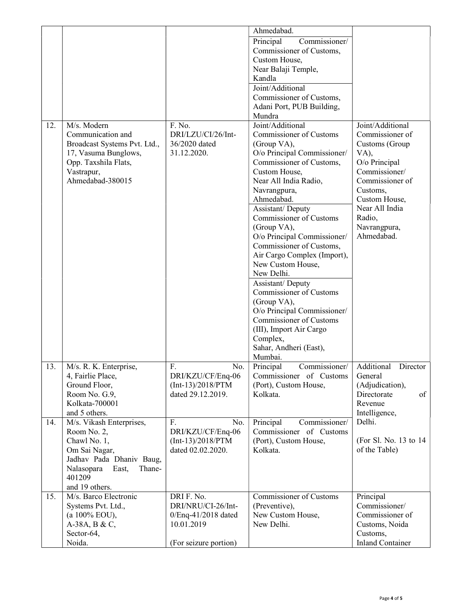|     |                                                                                                                                                                   |                                                                                                | Ahmedabad.                                                                                                                                                                                                                                                                                                                                                                                                                                                                                                                                                                                     |                                                                                                                                                                                                           |
|-----|-------------------------------------------------------------------------------------------------------------------------------------------------------------------|------------------------------------------------------------------------------------------------|------------------------------------------------------------------------------------------------------------------------------------------------------------------------------------------------------------------------------------------------------------------------------------------------------------------------------------------------------------------------------------------------------------------------------------------------------------------------------------------------------------------------------------------------------------------------------------------------|-----------------------------------------------------------------------------------------------------------------------------------------------------------------------------------------------------------|
|     |                                                                                                                                                                   |                                                                                                | Principal<br>Commissioner/<br>Commissioner of Customs,<br>Custom House,<br>Near Balaji Temple,<br>Kandla<br>Joint/Additional<br>Commissioner of Customs,                                                                                                                                                                                                                                                                                                                                                                                                                                       |                                                                                                                                                                                                           |
|     |                                                                                                                                                                   |                                                                                                | Adani Port, PUB Building,<br>Mundra                                                                                                                                                                                                                                                                                                                                                                                                                                                                                                                                                            |                                                                                                                                                                                                           |
| 12. | M/s. Modern<br>Communication and<br>Broadcast Systems Pvt. Ltd.,<br>17, Vasuma Bunglows,<br>Opp. Taxshila Flats,<br>Vastrapur,<br>Ahmedabad-380015                | F. No.<br>DRI/LZU/CI/26/Int-<br>36/2020 dated<br>31.12.2020.                                   | Joint/Additional<br>Commissioner of Customs<br>(Group VA),<br>O/o Principal Commissioner/<br>Commissioner of Customs,<br>Custom House,<br>Near All India Radio,<br>Navrangpura,<br>Ahmedabad.<br>Assistant/ Deputy<br>Commissioner of Customs<br>(Group VA),<br>O/o Principal Commissioner/<br>Commissioner of Customs,<br>Air Cargo Complex (Import),<br>New Custom House,<br>New Delhi.<br>Assistant/ Deputy<br>Commissioner of Customs<br>(Group VA),<br>O/o Principal Commissioner/<br>Commissioner of Customs<br>(III), Import Air Cargo<br>Complex,<br>Sahar, Andheri (East),<br>Mumbai. | Joint/Additional<br>Commissioner of<br>Customs (Group<br>VA),<br>O/o Principal<br>Commissioner/<br>Commissioner of<br>Customs,<br>Custom House,<br>Near All India<br>Radio,<br>Navrangpura,<br>Ahmedabad. |
| 13. | M/s. R. K. Enterprise,<br>4, Fairlie Place,<br>Ground Floor,<br>Room No. G.9,<br>Kolkata-700001<br>and 5 others.                                                  | F.<br>No.<br>DRI/KZU/CF/Enq-06<br>$(Int-13)/2018/PTM$<br>dated 29.12.2019.                     | Principal<br>Commissioner/<br>Commissioner of Customs<br>(Port), Custom House,<br>Kolkata.                                                                                                                                                                                                                                                                                                                                                                                                                                                                                                     | Additional<br>Director<br>General<br>(Adjudication),<br>Directorate<br>of<br>Revenue<br>Intelligence,                                                                                                     |
| 14. | M/s. Vikash Enterprises,<br>Room No. 2,<br>Chawl No. 1,<br>Om Sai Nagar,<br>Jadhav Pada Dhaniv Baug,<br>Nalasopara<br>Thane-<br>East,<br>401209<br>and 19 others. | F.<br>No.<br>DRI/KZU/CF/Enq-06<br>$(Int-13)/2018/PTM$<br>dated 02.02.2020.                     | Principal<br>Commissioner/<br>Commissioner of Customs<br>(Port), Custom House,<br>Kolkata.                                                                                                                                                                                                                                                                                                                                                                                                                                                                                                     | Delhi.<br>(For Sl. No. 13 to 14)<br>of the Table)                                                                                                                                                         |
| 15. | M/s. Barco Electronic<br>Systems Pvt. Ltd.,<br>(a 100% EOU),<br>A-38A, B & C,<br>Sector-64,<br>Noida.                                                             | DRI F. No.<br>DRI/NRU/CI-26/Int-<br>0/Enq-41/2018 dated<br>10.01.2019<br>(For seizure portion) | Commissioner of Customs<br>(Preventive),<br>New Custom House,<br>New Delhi.                                                                                                                                                                                                                                                                                                                                                                                                                                                                                                                    | Principal<br>Commissioner/<br>Commissioner of<br>Customs, Noida<br>Customs,<br><b>Inland Container</b>                                                                                                    |